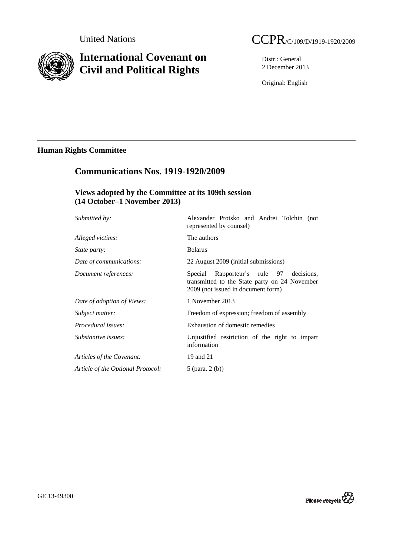

# **International Covenant on Civil and Political Rights**

Distr.: General 2 December 2013

Original: English

## **Human Rights Committee**

## **Communications Nos. 1919-1920/2009**

## **Views adopted by the Committee at its 109th session (14 October–1 November 2013)**

| Submitted by:                     | Alexander Protsko and Andrei Tolchin (not<br>represented by counsel)                                                           |
|-----------------------------------|--------------------------------------------------------------------------------------------------------------------------------|
| Alleged victims:                  | The authors                                                                                                                    |
| State party:                      | <b>Belarus</b>                                                                                                                 |
| Date of communications:           | 22 August 2009 (initial submissions)                                                                                           |
| Document references:              | Special Rapporteur's rule 97 decisions,<br>transmitted to the State party on 24 November<br>2009 (not issued in document form) |
| Date of adoption of Views:        | 1 November 2013                                                                                                                |
| Subject matter:                   | Freedom of expression; freedom of assembly                                                                                     |
| Procedural issues:                | Exhaustion of domestic remedies                                                                                                |
| Substantive issues:               | Unjustified restriction of the right to impart<br>information                                                                  |
| Articles of the Covenant:         | 19 and 21                                                                                                                      |
| Article of the Optional Protocol: | 5 (para. $2(b)$ )                                                                                                              |
|                                   |                                                                                                                                |

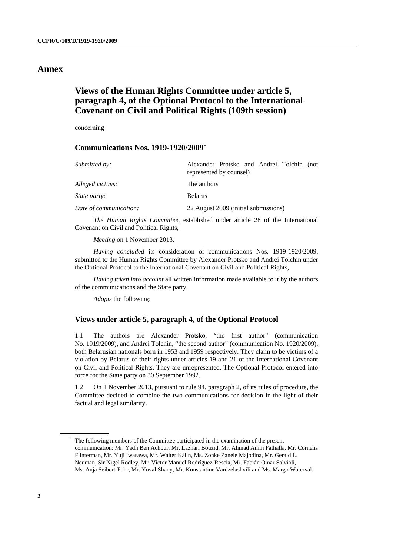## **Annex**

## **Views of the Human Rights Committee under article 5, paragraph 4, of the Optional Protocol to the International Covenant on Civil and Political Rights (109th session)**

concerning

### **Communications Nos. 1919-1920/2009[\\*](#page-1-0)**

| Submitted by:          | Alexander Protsko and Andrei Tolchin (not<br>represented by counsel) |
|------------------------|----------------------------------------------------------------------|
| Alleged victims:       | The authors                                                          |
| <i>State party:</i>    | <b>Belarus</b>                                                       |
| Date of communication: | 22 August 2009 (initial submissions)                                 |

*The Human Rights Committee*, established under article 28 of the International Covenant on Civil and Political Rights,

*Meeting* on 1 November 2013,

*Having concluded* its consideration of communications Nos. 1919-1920/2009, submitted to the Human Rights Committee by Alexander Protsko and Andrei Tolchin under the Optional Protocol to the International Covenant on Civil and Political Rights,

*Having taken into account* all written information made available to it by the authors of the communications and the State party,

*Adopts* the following:

### **Views under article 5, paragraph 4, of the Optional Protocol**

1.1 The authors are Alexander Protsko, "the first author" (communication No. 1919/2009), and Andrei Tolchin, "the second author" (communication No. 1920/2009), both Belarusian nationals born in 1953 and 1959 respectively. They claim to be victims of a violation by Belarus of their rights under articles 19 and 21 of the International Covenant on Civil and Political Rights. They are unrepresented. The Optional Protocol entered into force for the State party on 30 September 1992.

1.2 On 1 November 2013, pursuant to rule 94, paragraph 2, of its rules of procedure, the Committee decided to combine the two communications for decision in the light of their factual and legal similarity.

<span id="page-1-0"></span> <sup>\*</sup> The following members of the Committee participated in the examination of the present communication: Mr. Yadh Ben Achour, Mr. Lazhari Bouzid, Mr. Ahmad Amin Fathalla, Mr. Cornelis Flinterman, Mr. Yuji Iwasawa, Mr. Walter Kälin, Ms. Zonke Zanele Majodina, Mr. Gerald L. Neuman, Sir Nigel Rodley, Mr. Victor Manuel Rodríguez-Rescia, Mr. Fabián Omar Salvioli, Ms. Anja Seibert-Fohr, Mr. Yuval Shany, Mr. Konstantine Vardzelashvili and Ms. Margo Waterval.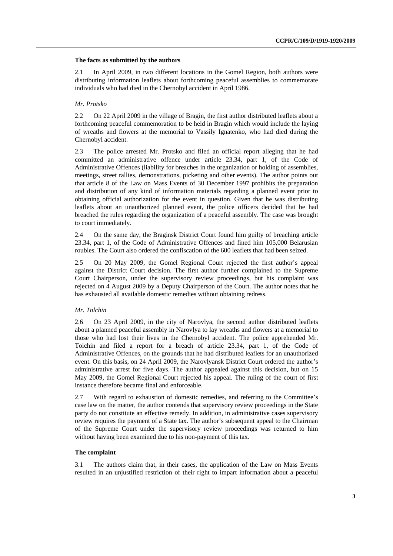#### **The facts as submitted by the authors**

2.1 In April 2009, in two different locations in the Gomel Region, both authors were distributing information leaflets about forthcoming peaceful assemblies to commemorate individuals who had died in the Chernobyl accident in April 1986.

#### *Mr. Protsko*

2.2 On 22 April 2009 in the village of Bragin, the first author distributed leaflets about a forthcoming peaceful commemoration to be held in Bragin which would include the laying of wreaths and flowers at the memorial to Vassily Ignatenko, who had died during the Chernobyl accident.

2.3 The police arrested Mr. Protsko and filed an official report alleging that he had committed an administrative offence under article 23.34, part 1, of the Code of Administrative Offences (liability for breaches in the organization or holding of assemblies, meetings, street rallies, demonstrations, picketing and other events). The author points out that article 8 of the Law on Mass Events of 30 December 1997 prohibits the preparation and distribution of any kind of information materials regarding a planned event prior to obtaining official authorization for the event in question. Given that he was distributing leaflets about an unauthorized planned event, the police officers decided that he had breached the rules regarding the organization of a peaceful assembly. The case was brought to court immediately.

2.4 On the same day, the Braginsk District Court found him guilty of breaching article 23.34, part 1, of the Code of Administrative Offences and fined him 105,000 Belarusian roubles. The Court also ordered the confiscation of the 600 leaflets that had been seized.

2.5 On 20 May 2009, the Gomel Regional Court rejected the first author's appeal against the District Court decision. The first author further complained to the Supreme Court Chairperson, under the supervisory review proceedings, but his complaint was rejected on 4 August 2009 by a Deputy Chairperson of the Court. The author notes that he has exhausted all available domestic remedies without obtaining redress.

#### *Mr. Tolchin*

2.6 On 23 April 2009, in the city of Narovlya, the second author distributed leaflets about a planned peaceful assembly in Narovlya to lay wreaths and flowers at a memorial to those who had lost their lives in the Chernobyl accident. The police apprehended Mr. Tolchin and filed a report for a breach of article 23.34, part 1, of the Code of Administrative Offences, on the grounds that he had distributed leaflets for an unauthorized event. On this basis, on 24 April 2009, the Narovlyansk District Court ordered the author's administrative arrest for five days. The author appealed against this decision, but on 15 May 2009, the Gomel Regional Court rejected his appeal. The ruling of the court of first instance therefore became final and enforceable.

2.7 With regard to exhaustion of domestic remedies, and referring to the Committee's case law on the matter, the author contends that supervisory review proceedings in the State party do not constitute an effective remedy. In addition, in administrative cases supervisory review requires the payment of a State tax. The author's subsequent appeal to the Chairman of the Supreme Court under the supervisory review proceedings was returned to him without having been examined due to his non-payment of this tax.

#### **The complaint**

3.1 The authors claim that, in their cases, the application of the Law on Mass Events resulted in an unjustified restriction of their right to impart information about a peaceful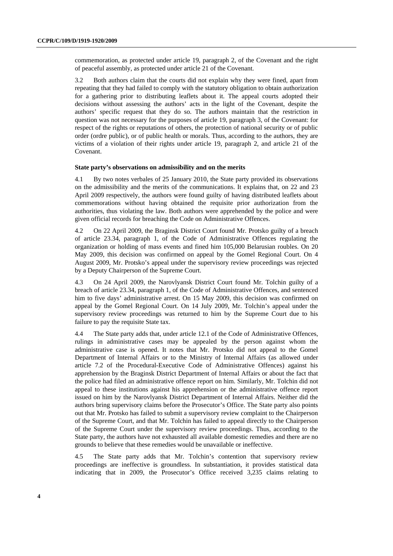commemoration, as protected under article 19, paragraph 2, of the Covenant and the right of peaceful assembly, as protected under article 21 of the Covenant.

3.2 Both authors claim that the courts did not explain why they were fined, apart from repeating that they had failed to comply with the statutory obligation to obtain authorization for a gathering prior to distributing leaflets about it. The appeal courts adopted their decisions without assessing the authors' acts in the light of the Covenant, despite the authors' specific request that they do so. The authors maintain that the restriction in question was not necessary for the purposes of article 19, paragraph 3, of the Covenant: for respect of the rights or reputations of others, the protection of national security or of public order (ordre public), or of public health or morals. Thus, according to the authors, they are victims of a violation of their rights under article 19, paragraph 2, and article 21 of the Covenant.

### **State party's observations on admissibility and on the merits**

4.1 By two notes verbales of 25 January 2010, the State party provided its observations on the admissibility and the merits of the communications. It explains that, on 22 and 23 April 2009 respectively, the authors were found guilty of having distributed leaflets about commemorations without having obtained the requisite prior authorization from the authorities, thus violating the law. Both authors were apprehended by the police and were given official records for breaching the Code on Administrative Offences.

4.2 On 22 April 2009, the Braginsk District Court found Mr. Protsko guilty of a breach of article 23.34, paragraph 1, of the Code of Administrative Offences regulating the organization or holding of mass events and fined him 105,000 Belarusian roubles. On 20 May 2009, this decision was confirmed on appeal by the Gomel Regional Court. On 4 August 2009, Mr. Protsko's appeal under the supervisory review proceedings was rejected by a Deputy Chairperson of the Supreme Court.

4.3 On 24 April 2009, the Narovlyansk District Court found Mr. Tolchin guilty of a breach of article 23.34, paragraph 1, of the Code of Administrative Offences, and sentenced him to five days' administrative arrest. On 15 May 2009, this decision was confirmed on appeal by the Gomel Regional Court. On 14 July 2009, Mr. Tolchin's appeal under the supervisory review proceedings was returned to him by the Supreme Court due to his failure to pay the requisite State tax.

4.4 The State party adds that, under article 12.1 of the Code of Administrative Offences, rulings in administrative cases may be appealed by the person against whom the administrative case is opened. It notes that Mr. Protsko did not appeal to the Gomel Department of Internal Affairs or to the Ministry of Internal Affairs (as allowed under article 7.2 of the Procedural-Executive Code of Administrative Offences) against his apprehension by the Braginsk District Department of Internal Affairs or about the fact that the police had filed an administrative offence report on him. Similarly, Mr. Tolchin did not appeal to these institutions against his apprehension or the administrative offence report issued on him by the Narovlyansk District Department of Internal Affairs. Neither did the authors bring supervisory claims before the Prosecutor's Office. The State party also points out that Mr. Protsko has failed to submit a supervisory review complaint to the Chairperson of the Supreme Court, and that Mr. Tolchin has failed to appeal directly to the Chairperson of the Supreme Court under the supervisory review proceedings. Thus, according to the State party, the authors have not exhausted all available domestic remedies and there are no grounds to believe that these remedies would be unavailable or ineffective.

4.5 The State party adds that Mr. Tolchin's contention that supervisory review proceedings are ineffective is groundless. In substantiation, it provides statistical data indicating that in 2009, the Prosecutor's Office received 3,235 claims relating to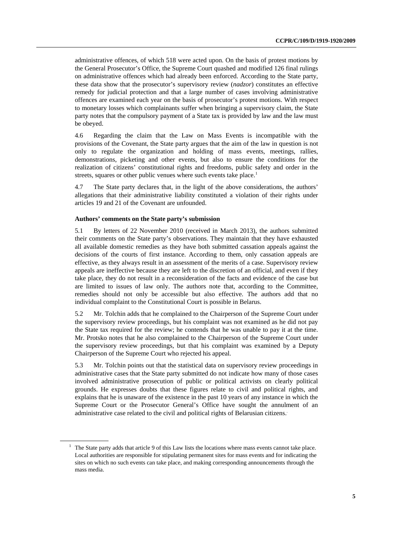administrative offences, of which 518 were acted upon. On the basis of protest motions by the General Prosecutor's Office, the Supreme Court quashed and modified 126 final rulings on administrative offences which had already been enforced. According to the State party, these data show that the prosecutor's supervisory review (*nadzor*) constitutes an effective remedy for judicial protection and that a large number of cases involving administrative offences are examined each year on the basis of prosecutor's protest motions. With respect to monetary losses which complainants suffer when bringing a supervisory claim, the State party notes that the compulsory payment of a State tax is provided by law and the law must be obeyed.

4.6 Regarding the claim that the Law on Mass Events is incompatible with the provisions of the Covenant, the State party argues that the aim of the law in question is not only to regulate the organization and holding of mass events, meetings, rallies, demonstrations, picketing and other events, but also to ensure the conditions for the realization of citizens' constitutional rights and freedoms, public safety and order in the streets, squares or other public venues where such events take place.<sup>[1](#page-4-0)</sup>

4.7 The State party declares that, in the light of the above considerations, the authors' allegations that their administrative liability constituted a violation of their rights under articles 19 and 21 of the Covenant are unfounded.

#### **Authors' comments on the State party's submission**

5.1 By letters of 22 November 2010 (received in March 2013), the authors submitted their comments on the State party's observations. They maintain that they have exhausted all available domestic remedies as they have both submitted cassation appeals against the decisions of the courts of first instance. According to them, only cassation appeals are effective, as they always result in an assessment of the merits of a case. Supervisory review appeals are ineffective because they are left to the discretion of an official, and even if they take place, they do not result in a reconsideration of the facts and evidence of the case but are limited to issues of law only. The authors note that, according to the Committee, remedies should not only be accessible but also effective. The authors add that no individual complaint to the Constitutional Court is possible in Belarus.

5.2 Mr. Tolchin adds that he complained to the Chairperson of the Supreme Court under the supervisory review proceedings, but his complaint was not examined as he did not pay the State tax required for the review; he contends that he was unable to pay it at the time. Mr. Protsko notes that he also complained to the Chairperson of the Supreme Court under the supervisory review proceedings, but that his complaint was examined by a Deputy Chairperson of the Supreme Court who rejected his appeal.

5.3 Mr. Tolchin points out that the statistical data on supervisory review proceedings in administrative cases that the State party submitted do not indicate how many of those cases involved administrative prosecution of public or political activists on clearly political grounds. He expresses doubts that these figures relate to civil and political rights, and explains that he is unaware of the existence in the past 10 years of any instance in which the Supreme Court or the Prosecutor General's Office have sought the annulment of an administrative case related to the civil and political rights of Belarusian citizens..

<span id="page-4-0"></span> $<sup>1</sup>$  The State party adds that article 9 of this Law lists the locations where mass events cannot take place.</sup> Local authorities are responsible for stipulating permanent sites for mass events and for indicating the sites on which no such events can take place, and making corresponding announcements through the mass media.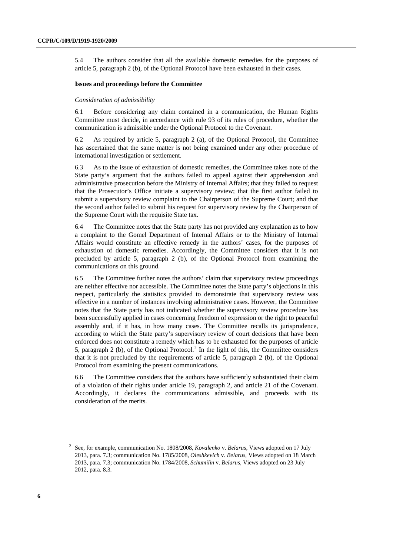5.4 The authors consider that all the available domestic remedies for the purposes of article 5, paragraph 2 (b), of the Optional Protocol have been exhausted in their cases.

#### **Issues and proceedings before the Committee**

#### *Consideration of admissibility*

6.1 Before considering any claim contained in a communication, the Human Rights Committee must decide, in accordance with rule 93 of its rules of procedure, whether the communication is admissible under the Optional Protocol to the Covenant.

6.2 As required by article 5, paragraph 2 (a), of the Optional Protocol, the Committee has ascertained that the same matter is not being examined under any other procedure of international investigation or settlement.

6.3 As to the issue of exhaustion of domestic remedies, the Committee takes note of the State party's argument that the authors failed to appeal against their apprehension and administrative prosecution before the Ministry of Internal Affairs; that they failed to request that the Prosecutor's Office initiate a supervisory review; that the first author failed to submit a supervisory review complaint to the Chairperson of the Supreme Court; and that the second author failed to submit his request for supervisory review by the Chairperson of the Supreme Court with the requisite State tax.

6.4 The Committee notes that the State party has not provided any explanation as to how a complaint to the Gomel Department of Internal Affairs or to the Ministry of Internal Affairs would constitute an effective remedy in the authors' cases, for the purposes of exhaustion of domestic remedies. Accordingly, the Committee considers that it is not precluded by article 5, paragraph 2 (b), of the Optional Protocol from examining the communications on this ground.

6.5 The Committee further notes the authors' claim that supervisory review proceedings are neither effective nor accessible. The Committee notes the State party's objections in this respect, particularly the statistics provided to demonstrate that supervisory review was effective in a number of instances involving administrative cases. However, the Committee notes that the State party has not indicated whether the supervisory review procedure has been successfully applied in cases concerning freedom of expression or the right to peaceful assembly and, if it has, in how many cases. The Committee recalls its jurisprudence, according to which the State party's supervisory review of court decisions that have been enforced does not constitute a remedy which has to be exhausted for the purposes of article 5, paragraph [2](#page-5-0) (b), of the Optional Protocol.<sup>2</sup> In the light of this, the Committee considers that it is not precluded by the requirements of article 5, paragraph 2 (b), of the Optional Protocol from examining the present communications.

6.6 The Committee considers that the authors have sufficiently substantiated their claim of a violation of their rights under article 19, paragraph 2, and article 21 of the Covenant. Accordingly, it declares the communications admissible, and proceeds with its consideration of the merits.

<span id="page-5-0"></span><sup>2</sup> See, for example, communication No. 1808/2008, *Kovalenko* v. *Belarus*, Views adopted on 17 July 2013, para. 7.3; communication No. 1785/2008, *Oleshkevich* v. *Belarus*, Views adopted on 18 March 2013, para. 7.3; communication No. 1784/2008, *Schumilin* v. *Belarus*, Views adopted on 23 July 2012, para. 8.3.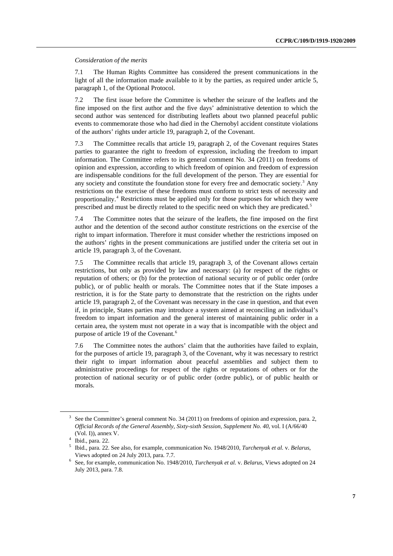*Consideration of the merits* 

7.1 The Human Rights Committee has considered the present communications in the light of all the information made available to it by the parties, as required under article 5, paragraph 1, of the Optional Protocol.

7.2 The first issue before the Committee is whether the seizure of the leaflets and the fine imposed on the first author and the five days' administrative detention to which the second author was sentenced for distributing leaflets about two planned peaceful public events to commemorate those who had died in the Chernobyl accident constitute violations of the authors' rights under article 19, paragraph 2, of the Covenant.

7.3 The Committee recalls that article 19, paragraph 2, of the Covenant requires States parties to guarantee the right to freedom of expression, including the freedom to impart information. The Committee refers to its general comment No. 34 (2011) on freedoms of opinion and expression, according to which freedom of opinion and freedom of expression are indispensable conditions for the full development of the person. They are essential for any society and constitute the foundation stone for every free and democratic society.<sup>[3](#page-6-0)</sup> Any restrictions on the exercise of these freedoms must conform to strict tests of necessity and proportionality.<sup>[4](#page-6-1)</sup> Restrictions must be applied only for those purposes for which they were prescribed and must be directly related to the specific need on which they are predicated.<sup>[5](#page-6-2)</sup>

7.4 The Committee notes that the seizure of the leaflets, the fine imposed on the first author and the detention of the second author constitute restrictions on the exercise of the right to impart information. Therefore it must consider whether the restrictions imposed on the authors' rights in the present communications are justified under the criteria set out in article 19, paragraph 3, of the Covenant.

7.5 The Committee recalls that article 19, paragraph 3, of the Covenant allows certain restrictions, but only as provided by law and necessary: (a) for respect of the rights or reputation of others; or (b) for the protection of national security or of public order (ordre public), or of public health or morals. The Committee notes that if the State imposes a restriction, it is for the State party to demonstrate that the restriction on the rights under article 19, paragraph 2, of the Covenant was necessary in the case in question, and that even if, in principle, States parties may introduce a system aimed at reconciling an individual's freedom to impart information and the general interest of maintaining public order in a certain area, the system must not operate in a way that is incompatible with the object and purpose of article 19 of the Covenant.[6](#page-6-3)

7.6 The Committee notes the authors' claim that the authorities have failed to explain, for the purposes of article 19, paragraph 3, of the Covenant, why it was necessary to restrict their right to impart information about peaceful assemblies and subject them to administrative proceedings for respect of the rights or reputations of others or for the protection of national security or of public order (ordre public), or of public health or morals.

<span id="page-6-0"></span><sup>&</sup>lt;sup>3</sup> See the Committee's general comment No. 34 (2011) on freedoms of opinion and expression, para. 2, *Official Records of the General Assembly, Sixty-sixth Session, Supplement No. 40*, vol. I (A/66/40  $(Vol. I)$ ), annex V.

<span id="page-6-1"></span> $4$  Ibid., para. 22.

<span id="page-6-2"></span><sup>5</sup> Ibid., para. 22. See also, for example, communication No. 1948/2010, *Turchenyak et al.* v. *Belarus*, Views adopted on 24 July 2013, para. 7.7. 6

<span id="page-6-3"></span>See, for example, communication No. 1948/2010, *Turchenyak et al.* v. *Belarus*, Views adopted on 24 July 2013, para. 7.8.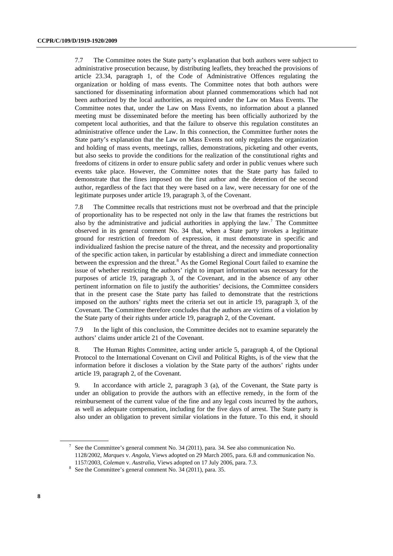7.7 The Committee notes the State party's explanation that both authors were subject to administrative prosecution because, by distributing leaflets, they breached the provisions of article 23.34, paragraph 1, of the Code of Administrative Offences regulating the organization or holding of mass events. The Committee notes that both authors were sanctioned for disseminating information about planned commemorations which had not been authorized by the local authorities, as required under the Law on Mass Events. The Committee notes that, under the Law on Mass Events, no information about a planned meeting must be disseminated before the meeting has been officially authorized by the competent local authorities, and that the failure to observe this regulation constitutes an administrative offence under the Law. In this connection, the Committee further notes the State party's explanation that the Law on Mass Events not only regulates the organization and holding of mass events, meetings, rallies, demonstrations, picketing and other events, but also seeks to provide the conditions for the realization of the constitutional rights and freedoms of citizens in order to ensure public safety and order in public venues where such events take place. However, the Committee notes that the State party has failed to demonstrate that the fines imposed on the first author and the detention of the second author, regardless of the fact that they were based on a law, were necessary for one of the legitimate purposes under article 19, paragraph 3, of the Covenant.

7.8 The Committee recalls that restrictions must not be overbroad and that the principle of proportionality has to be respected not only in the law that frames the restrictions but also by the administrative and judicial authorities in applying the law.<sup>[7](#page-7-0)</sup> The Committee observed in its general comment No. 34 that, when a State party invokes a legitimate ground for restriction of freedom of expression, it must demonstrate in specific and individualized fashion the precise nature of the threat, and the necessity and proportionality of the specific action taken, in particular by establishing a direct and immediate connection between the expression and the threat.<sup>[8](#page-7-1)</sup> As the Gomel Regional Court failed to examine the issue of whether restricting the authors' right to impart information was necessary for the purposes of article 19, paragraph 3, of the Covenant, and in the absence of any other pertinent information on file to justify the authorities' decisions, the Committee considers that in the present case the State party has failed to demonstrate that the restrictions imposed on the authors' rights meet the criteria set out in article 19, paragraph 3, of the Covenant. The Committee therefore concludes that the authors are victims of a violation by the State party of their rights under article 19, paragraph 2, of the Covenant.

7.9 In the light of this conclusion, the Committee decides not to examine separately the authors' claims under article 21 of the Covenant.

8. The Human Rights Committee, acting under article 5, paragraph 4, of the Optional Protocol to the International Covenant on Civil and Political Rights, is of the view that the information before it discloses a violation by the State party of the authors' rights under article 19, paragraph 2, of the Covenant.

9. In accordance with article 2, paragraph 3 (a), of the Covenant, the State party is under an obligation to provide the authors with an effective remedy, in the form of the reimbursement of the current value of the fine and any legal costs incurred by the authors, as well as adequate compensation, including for the five days of arrest. The State party is also under an obligation to prevent similar violations in the future. To this end, it should

<span id="page-7-0"></span> $7$  See the Committee's general comment No. 34 (2011), para. 34. See also communication No. 1128/2002, *Marques* v. *Angola*, Views adopted on 29 March 2005, para. 6.8 and communication No.

<sup>1157/2003,</sup> *Coleman* v. *Australia*, Views adopted on 17 July 2006, para. 7.3. 8

<span id="page-7-1"></span> $8$  See the Committee's general comment No. 34 (2011), para. 35.